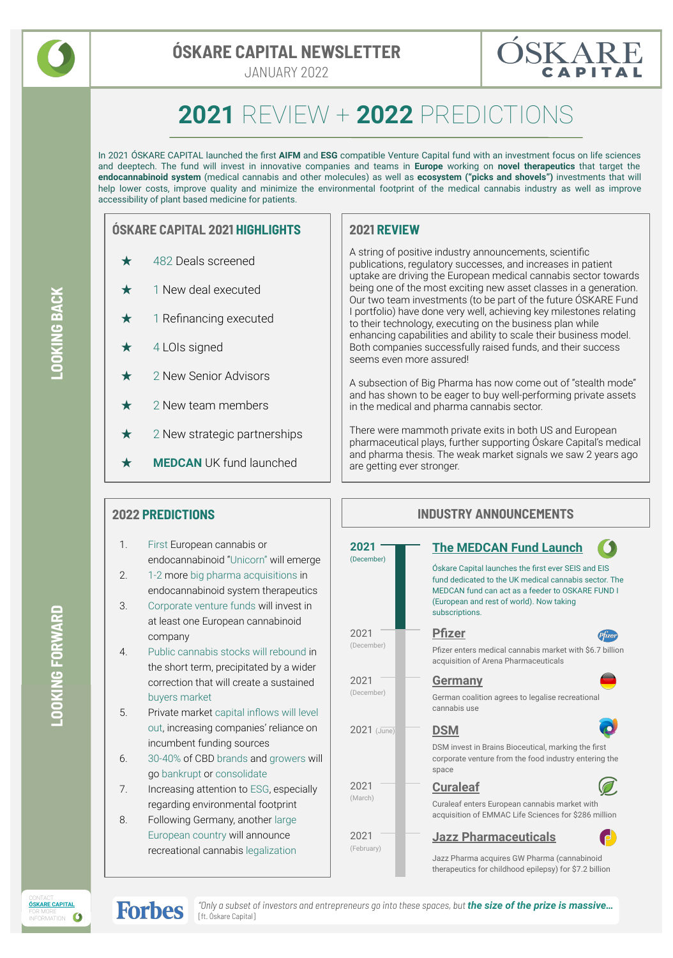

## **ÓSKARE CAPITAL NEWSLETTER**

JANUARY 2022



# **2021** REVIEW + **2022** PREDICTIONS

In 2021 ÓSKARE CAPITAL launched the first **AIFM** and **ESG** compatible Venture Capital fund with an investment focus on life sciences and deeptech. The fund will invest in innovative companies and teams in **Europe** working on **novel therapeutics** that target the **endocannabinoid system** (medical cannabis and other molecules) as well as **ecosystem ("picks and shovels")** investments that will help lower costs, improve quality and minimize the environmental footprint of the medical cannabis industry as well as improve accessibility of plant based medicine for patients.

#### **ÓSKARE CAPITAL 2021 HIGHLIGHTS**

- ★ 482 Deals screened
- $\star$  1 New deal executed
- $\star$  1 Refinancing executed
- $\star$  4 LOIs signed
- 2 New Senior Advisors
- 2 New team members
- $\star$  2 New strategic partnerships
- ★ **MEDCAN** UK fund launched

#### **2021 REVIEW**

A string of positive industry announcements, scientific publications, regulatory successes, and increases in patient uptake are driving the European medical cannabis sector towards being one of the most exciting new asset classes in a generation. Our two team investments (to be part of the future ÓSKARE Fund I portfolio) have done very well, achieving key milestones relating to their technology, executing on the business plan while enhancing capabilities and ability to scale their business model. Both companies successfully raised funds, and their success seems even more assured!

A subsection of Big Pharma has now come out of "stealth mode" and has shown to be eager to buy well-performing private assets in the medical and pharma cannabis sector.

There were mammoth private exits in both US and European pharmaceutical plays, further supporting Óskare Capital's medical and pharma thesis. The weak market signals we saw 2 years ago are getting ever stronger.

#### **2022 PREDICTIONS**

- 1. First European cannabis or endocannabinoid "Unicorn" will emerge
- 2. 1-2 more big pharma acquisitions in endocannabinoid system therapeutics
- 3. Corporate venture funds will invest in at least one European cannabinoid company

4. Public cannabis stocks will rebound in the short term, precipitated by a wider correction that will create a sustained buyers market

5. Private market capital inflows will level out, increasing companies' reliance on incumbent funding sources

- 6. 30-40% of CBD brands and growers will go bankrupt or consolidate
- 7. Increasing attention to ESG, especially regarding environmental footprint
- 8. Following Germany, another large European country will announce recreational cannabis legalization

| <b>INDUSTRY ANNOUNCEMENTS</b> |                                                                                                                                                                                                                                                                 |  |  |  |  |
|-------------------------------|-----------------------------------------------------------------------------------------------------------------------------------------------------------------------------------------------------------------------------------------------------------------|--|--|--|--|
| 2021<br>(December)            | <b>The MEDCAN Fund Launch</b><br>Óskare Capital launches the first ever SEIS and EIS<br>fund dedicated to the UK medical cannabis sector. The<br>MEDCAN fund can act as a feeder to OSKARE FUND I<br>(European and rest of world). Now taking<br>subscriptions. |  |  |  |  |
| 2021<br>(December)            | <b>Pfizer</b><br>Phzer<br>Pfizer enters medical cannabis market with \$6.7 billion<br>acquisition of Arena Pharmaceuticals                                                                                                                                      |  |  |  |  |
| 2021<br>(December)            | <b>Germany</b><br>German coalition agrees to legalise recreational<br>cannabis use                                                                                                                                                                              |  |  |  |  |
| $2021$ (June)                 | <b>DSM</b><br>DSM invest in Brains Bioceutical, marking the first<br>corporate venture from the food industry entering the<br>space                                                                                                                             |  |  |  |  |
| 2021<br>(March)               | <b>Curaleaf</b><br>Curaleaf enters European cannabis market with<br>acquisition of EMMAC Life Sciences for \$286 million                                                                                                                                        |  |  |  |  |
| 2021<br>(February)            | <b>Jazz Pharmaceuticals</b><br>Jazz Pharma acquires GW Pharma (cannabinoid<br>therapeutics for childhood epilepsy) for \$7.2 billion                                                                                                                            |  |  |  |  |

**LOOKING BACK**





*"Only a subset of investors and entrepreneurs go into these spaces, but the size of the prize is massive…* [ft. [Óskare Capital](https://www-forbes-com.cdn.ampproject.org/c/s/www.forbes.com/sites/dylankennett1/2021/07/28/venture-capital-seizes-investment-opportunities-in-european-cannabis-sector/amp/)]